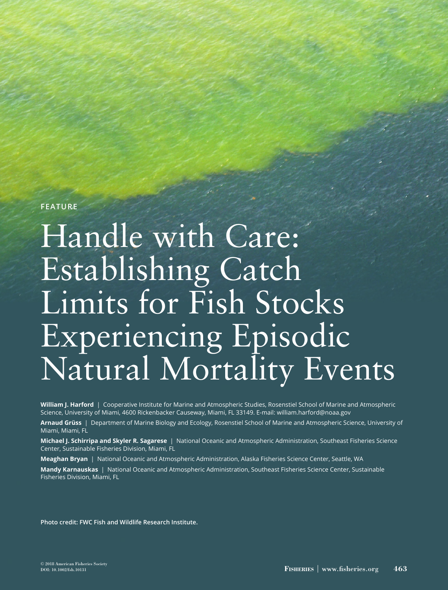**FEATURE**

# Handle with Care: Establishing Catch Limits for Fish Stocks Experiencing Episodic Natural Mortality Events

**William J. Harford** | Cooperative Institute for Marine and Atmospheric Studies, Rosenstiel School of Marine and Atmospheric Science, University of Miami, 4600 Rickenbacker Causeway, Miami, FL 33149. E-mail: william.harford@noaa.gov

**Arnaud Grüss** | Department of Marine Biology and Ecology, Rosenstiel School of Marine and Atmospheric Science, University of Miami, Miami, FL

**Michael J. Schirripa and Skyler R. Sagarese** | National Oceanic and Atmospheric Administration, Southeast Fisheries Science Center, Sustainable Fisheries Division, Miami, FL

**Meaghan Bryan** | National Oceanic and Atmospheric Administration, Alaska Fisheries Science Center, Seattle, WA

**Mandy Karnauskas** | National Oceanic and Atmospheric Administration, Southeast Fisheries Science Center, Sustainable Fisheries Division, Miami, FL

**Photo credit: FWC Fish and Wildlife Research Institute.**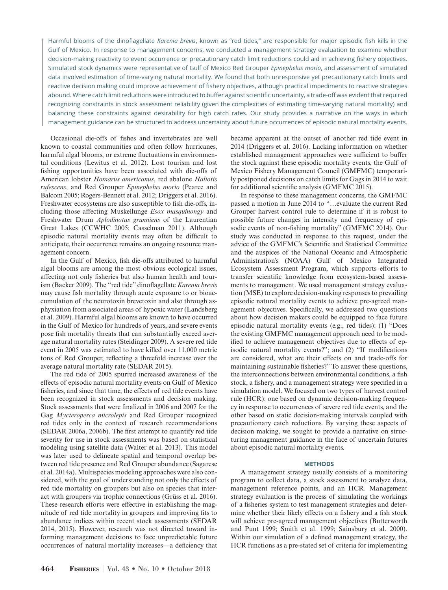Harmful blooms of the dinoflagellate *Karenia brevis*, known as "red tides," are responsible for major episodic fish kills in the Gulf of Mexico. In response to management concerns, we conducted a management strategy evaluation to examine whether decision-making reactivity to event occurrence or precautionary catch limit reductions could aid in achieving fishery objectives. Simulated stock dynamics were representative of Gulf of Mexico Red Grouper *Epinephelus morio*, and assessment of simulated data involved estimation of time-varying natural mortality. We found that both unresponsive yet precautionary catch limits and reactive decision making could improve achievement of fishery objectives, although practical impediments to reactive strategies abound. Where catch limit reductions were introduced to buffer against scientific uncertainty, a trade-off was evident that required recognizing constraints in stock assessment reliability (given the complexities of estimating time-varying natural mortality) and balancing these constraints against desirability for high catch rates. Our study provides a narrative on the ways in which management guidance can be structured to address uncertainty about future occurrences of episodic natural mortality events.

Occasional die-offs of fishes and invertebrates are well known to coastal communities and often follow hurricanes, harmful algal blooms, or extreme fluctuations in environmental conditions (Lewitus et al. 2012). Lost tourism and lost fishing opportunities have been associated with die-offs of American lobster *Homarus americanus*, red abalone *Haliotis rufescens*, and Red Grouper *Epinephelus morio* (Pearce and Balcom 2005; Rogers-Bennett et al. 2012; Driggers et al. 2016). Freshwater ecosystems are also susceptible to fish die-offs, including those affecting Muskellunge *Esox masquinongy* and Freshwater Drum *Aplodinotus grunniens* of the Laurentian Great Lakes (CCWHC 2005; Casselman 2011). Although episodic natural mortality events may often be difficult to anticipate, their occurrence remains an ongoing resource management concern.

In the Gulf of Mexico, fish die-offs attributed to harmful algal blooms are among the most obvious ecological issues, affecting not only fisheries but also human health and tourism (Backer 2009). The "red tide" dinoflagellate *Karenia brevis* may cause fish mortality through acute exposure to or bioaccumulation of the neurotoxin brevetoxin and also through asphyxiation from associated areas of hypoxic water (Landsberg et al. 2009). Harmful algal blooms are known to have occurred in the Gulf of Mexico for hundreds of years, and severe events pose fish mortality threats that can substantially exceed average natural mortality rates (Steidinger 2009). A severe red tide event in 2005 was estimated to have killed over 11,000 metric tons of Red Grouper, reflecting a threefold increase over the average natural mortality rate (SEDAR 2015).

The red tide of 2005 spurred increased awareness of the effects of episodic natural mortality events on Gulf of Mexico fisheries, and since that time, the effects of red tide events have been recognized in stock assessments and decision making. Stock assessments that were finalized in 2006 and 2007 for the Gag *Mycteroperca microlepis* and Red Grouper recognized red tides only in the context of research recommendations (SEDAR 2006a, 2006b). The first attempt to quantify red tide severity for use in stock assessments was based on statistical modeling using satellite data (Walter et al. 2013). This model was later used to delineate spatial and temporal overlap between red tide presence and Red Grouper abundance (Sagarese et al. 2014a). Multispecies modeling approaches were also considered, with the goal of understanding not only the effects of red tide mortality on groupers but also on species that interact with groupers via trophic connections (Grüss et al. 2016). These research efforts were effective in establishing the magnitude of red tide mortality in groupers and improving fits to abundance indices within recent stock assessments (SEDAR 2014, 2015). However, research was not directed toward informing management decisions to face unpredictable future occurrences of natural mortality increases—a deficiency that

became apparent at the outset of another red tide event in 2014 (Driggers et al. 2016). Lacking information on whether established management approaches were sufficient to buffer the stock against these episodic mortality events, the Gulf of Mexico Fishery Management Council (GMFMC) temporarily postponed decisions on catch limits for Gags in 2014 to wait for additional scientific analysis (GMFMC 2015).

In response to these management concerns, the GMFMC passed a motion in June 2014 to "…evaluate the current Red Grouper harvest control rule to determine if it is robust to possible future changes in intensity and frequency of episodic events of non-fishing mortality" (GMFMC 2014). Our study was conducted in response to this request, under the advice of the GMFMC's Scientific and Statistical Committee and the auspices of the National Oceanic and Atmospheric Administration's (NOAA) Gulf of Mexico Integrated Ecosystem Assessment Program, which supports efforts to transfer scientific knowledge from ecosystem-based assessments to management. We used management strategy evaluation (MSE) to explore decision-making responses to prevailing episodic natural mortality events to achieve pre-agreed management objectives. Specifically, we addressed two questions about how decision makers could be equipped to face future episodic natural mortality events (e.g., red tides): (1) "Does the existing GMFMC management approach need to be modified to achieve management objectives due to effects of episodic natural mortality events?"; and (2) "If modifications are considered, what are their effects on and trade-offs for maintaining sustainable fisheries?" To answer these questions, the interconnections between environmental conditions, a fish stock, a fishery, and a management strategy were specified in a simulation model. We focused on two types of harvest control rule (HCR): one based on dynamic decision-making frequency in response to occurrences of severe red tide events, and the other based on static decision-making intervals coupled with precautionary catch reductions. By varying these aspects of decision making, we sought to provide a narrative on structuring management guidance in the face of uncertain futures about episodic natural mortality events.

# **METHODS**

A management strategy usually consists of a monitoring program to collect data, a stock assessment to analyze data, management reference points, and an HCR. Management strategy evaluation is the process of simulating the workings of a fisheries system to test management strategies and determine whether their likely effects on a fishery and a fish stock will achieve pre-agreed management objectives (Butterworth and Punt 1999; Smith et al. 1999; Sainsbury et al. 2000). Within our simulation of a defined management strategy, the HCR functions as a pre-stated set of criteria for implementing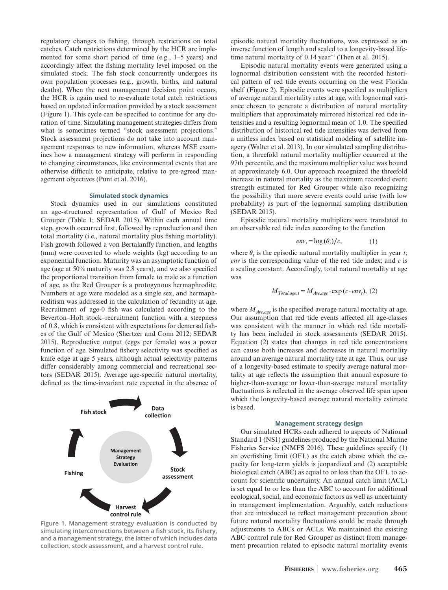regulatory changes to fishing, through restrictions on total catches. Catch restrictions determined by the HCR are implemented for some short period of time (e.g., 1–5 years) and accordingly affect the fishing mortality level imposed on the simulated stock. The fish stock concurrently undergoes its own population processes (e.g., growth, births, and natural deaths). When the next management decision point occurs, the HCR is again used to re-evaluate total catch restrictions based on updated information provided by a stock assessment (Figure 1). This cycle can be specified to continue for any duration of time. Simulating management strategies differs from what is sometimes termed "stock assessment projections." Stock assessment projections do not take into account management responses to new information, whereas MSE examines how a management strategy will perform in responding to changing circumstances, like environmental events that are otherwise difficult to anticipate, relative to pre-agreed management objectives (Punt et al. 2016).

## **Simulated stock dynamics**

Stock dynamics used in our simulations constituted an age-structured representation of Gulf of Mexico Red Grouper (Table 1; SEDAR 2015). Within each annual time step, growth occurred first, followed by reproduction and then total mortality (i.e., natural mortality plus fishing mortality). Fish growth followed a von Bertalanffy function, and lengths (mm) were converted to whole weights (kg) according to an exponential function. Maturity was an asymptotic function of age (age at 50% maturity was 2.8 years), and we also specified the proportional transition from female to male as a function of age, as the Red Grouper is a protogynous hermaphrodite. Numbers at age were modeled as a single sex, and hermaphroditism was addressed in the calculation of fecundity at age. Recruitment of age-0 fish was calculated according to the Beverton–Holt stock–recruitment function with a steepness of 0.8, which is consistent with expectations for demersal fishes of the Gulf of Mexico (Shertzer and Conn 2012; SEDAR 2015). Reproductive output (eggs per female) was a power function of age. Simulated fishery selectivity was specified as knife edge at age 5 years, although actual selectivity patterns differ considerably among commercial and recreational sectors (SEDAR 2015). Average age-specific natural mortality, defined as the time-invariant rate expected in the absence of



**Figure 1. Management strategy evaluation is conducted by simulating interconnections between a fish stock, its fishery, and a management strategy, the latter of which includes data collection, stock assessment, and a harvest control rule.**

episodic natural mortality fluctuations, was expressed as an inverse function of length and scaled to a longevity-based lifetime natural mortality of 0.14 year<sup>-1</sup> (Then et al. 2015).

Episodic natural mortality events were generated using a lognormal distribution consistent with the recorded historical pattern of red tide events occurring on the west Florida shelf (Figure 2). Episodic events were specified as multipliers of average natural mortality rates at age, with lognormal variance chosen to generate a distribution of natural mortality multipliers that approximately mirrored historical red tide intensities and a resulting lognormal mean of 1.0. The specified distribution of historical red tide intensities was derived from a unitless index based on statistical modeling of satellite imagery (Walter et al. 2013). In our simulated sampling distribution, a threefold natural mortality multiplier occurred at the 97th percentile, and the maximum multiplier value was bound at approximately 6.0. Our approach recognized the threefold increase in natural mortality as the maximum recorded event strength estimated for Red Grouper while also recognizing the possibility that more severe events could arise (with low probability) as part of the lognormal sampling distribution (SEDAR 2015).

Episodic natural mortality multipliers were translated to an observable red tide index according to the function

$$
envt = log(\thetat)/c,
$$
 (1)

where  $\theta_t$  is the episodic natural mortality multiplier in year *t*; *env* is the corresponding value of the red tide index; and *c* is a scaling constant. Accordingly, total natural mortality at age was

$$
M_{Total, age, t} = M_{Ave, age} \cdot \exp\left(c \cdot env_t\right), \tag{2}
$$

where  $M_{\text{Avg},\text{age}}$  is the specified average natural mortality at age. Our assumption that red tide events affected all age-classes was consistent with the manner in which red tide mortality has been included in stock assessments (SEDAR 2015). Equation (2) states that changes in red tide concentrations can cause both increases and decreases in natural mortality around an average natural mortality rate at age. Thus, our use of a longevity-based estimate to specify average natural mortality at age reflects the assumption that annual exposure to higher-than-average or lower-than-average natural mortality fluctuations is reflected in the average observed life span upon which the longevity-based average natural mortality estimate is based.

#### **Management strategy design**

Our simulated HCRs each adhered to aspects of National Standard 1 (NS1) guidelines produced by the National Marine Fisheries Service (NMFS 2016). These guidelines specify (1) an overfishing limit (OFL) as the catch above which the capacity for long-term yields is jeopardized and (2) acceptable biological catch (ABC) as equal to or less than the OFL to account for scientific uncertainty. An annual catch limit (ACL) is set equal to or less than the ABC to account for additional ecological, social, and economic factors as well as uncertainty in management implementation. Arguably, catch reductions that are introduced to reflect management precaution about future natural mortality fluctuations could be made through adjustments to ABCs or ACLs. We maintained the existing ABC control rule for Red Grouper as distinct from management precaution related to episodic natural mortality events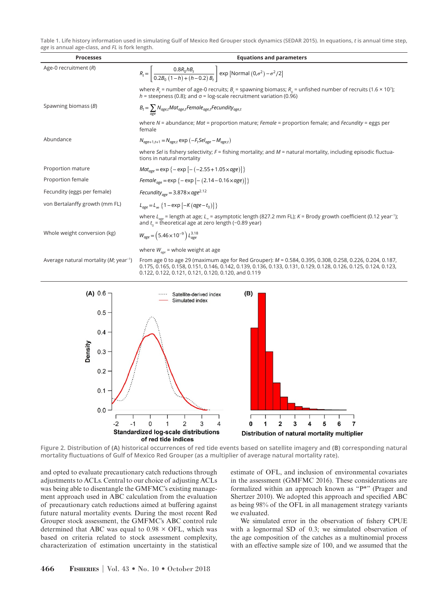**Table 1. Life history information used in simulating Gulf of Mexico Red Grouper stock dynamics (SEDAR 2015). In equations,** *t* **is annual time step,**  *age* **is annual age-class, and** *FL* **is fork length.**

| <b>Processes</b>                                       | <b>Equations and parameters</b>                                                                                                                                                                                                                                                    |  |  |  |  |
|--------------------------------------------------------|------------------------------------------------------------------------------------------------------------------------------------------------------------------------------------------------------------------------------------------------------------------------------------|--|--|--|--|
| Age-0 recruitment $(R)$                                | $R_t = \left  \frac{0.8R_0hB_t}{0.2B_0(1-h)+(h-0.2)B_t} \right  \exp \left[ \text{Normal} (0,\sigma^2) - \sigma^2/2 \right]$                                                                                                                                                       |  |  |  |  |
|                                                        | where $R_r$ = number of age-0 recruits; $B_r$ = spawning biomass; $R_0$ = unfished number of recruits (1.6 × 10 <sup>7</sup> );<br>$h$ = steepness (0.8); and $\sigma$ = log-scale recruitment variation (0.96)                                                                    |  |  |  |  |
| Spawning biomass $(B)$                                 | $B_t = \sum_{n} N_{age,t} Mat_{age,t} Female_{age,t} Fe \cdot \text{c}$                                                                                                                                                                                                            |  |  |  |  |
|                                                        | where $N =$ abundance; Mat = proportion mature; Female = proportion female; and Fecundity = eggs per<br>female                                                                                                                                                                     |  |  |  |  |
| Abundance                                              | $N_{\text{green}+1,t+1} = N_{\text{green}} \exp \left(-F_t \text{Sel}_{\text{green}} - M_{\text{green}}\right)$                                                                                                                                                                    |  |  |  |  |
|                                                        | where Sel is fishery selectivity; $F =$ fishing mortality; and $M =$ natural mortality, including episodic fluctua-<br>tions in natural mortality                                                                                                                                  |  |  |  |  |
| Proportion mature                                      | $Mat_{\text{age}} = \exp \{-\exp [-(2.55 + 1.05 \times \text{age})]\}$                                                                                                                                                                                                             |  |  |  |  |
| Proportion female                                      | Female <sub>age</sub> = exp { - exp $[- (2.14 - 0.16 \times age)]$ }                                                                                                                                                                                                               |  |  |  |  |
| Fecundity (eggs per female)                            | Fecundity <sub>age</sub> = $3.878 \times age^{2.12}$                                                                                                                                                                                                                               |  |  |  |  |
| von Bertalanffy growth (mm FL)                         | $L_{\text{age}} = L_{\infty} \{ 1 - \exp \left[ -K (\text{age} - t_0) \right] \}$                                                                                                                                                                                                  |  |  |  |  |
|                                                        | where $L_{age}$ = length at age; $L_{\infty}$ = asymptotic length (827.2 mm FL); $K$ = Brody growth coefficient (0.12 year <sup>-1</sup> ); and $t_{o}$ = theoretical age at zero length (-0.89 year)                                                                              |  |  |  |  |
| Whole weight conversion (kg)                           | $W_{age} = (5.46 \times 10^{-9}) L_{age}^{3.18}$                                                                                                                                                                                                                                   |  |  |  |  |
|                                                        | where $W_{\text{osc}}$ = whole weight at age                                                                                                                                                                                                                                       |  |  |  |  |
| Average natural mortality ( $M$ ; year <sup>-1</sup> ) | From age 0 to age 29 (maximum age for Red Grouper): M = 0.584, 0.395, 0.308, 0.258, 0.226, 0.204, 0.187,<br>0.175, 0.165, 0.158, 0.151, 0.146, 0.142, 0.139, 0.136, 0.133, 0.131, 0.129, 0.128, 0.126, 0.125, 0.124, 0.123,<br>0.122, 0.122, 0.121, 0.121, 0.120, 0.120, and 0.119 |  |  |  |  |
| $(1)$ $0$ $\epsilon$ $-$                               |                                                                                                                                                                                                                                                                                    |  |  |  |  |



**Figure 2. Distribution of (A) historical occurrences of red tide events based on satellite imagery and (B) corresponding natural mortality fluctuations of Gulf of Mexico Red Grouper (as a multiplier of average natural mortality rate).**

and opted to evaluate precautionary catch reductions through adjustments to ACLs. Central to our choice of adjusting ACLs was being able to disentangle the GMFMC's existing management approach used in ABC calculation from the evaluation of precautionary catch reductions aimed at buffering against future natural mortality events. During the most recent Red Grouper stock assessment, the GMFMC's ABC control rule determined that ABC was equal to  $0.98 \times$  OFL, which was based on criteria related to stock assessment complexity, characterization of estimation uncertainty in the statistical estimate of OFL, and inclusion of environmental covariates in the assessment (GMFMC 2016). These considerations are formalized within an approach known as "P\*" (Prager and Shertzer 2010). We adopted this approach and specified ABC as being 98% of the OFL in all management strategy variants we evaluated.

We simulated error in the observation of fishery CPUE with a lognormal SD of 0.3; we simulated observation of the age composition of the catches as a multinomial process with an effective sample size of 100, and we assumed that the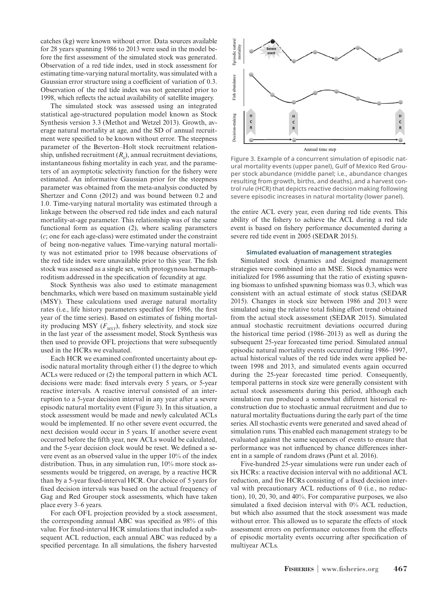catches (kg) were known without error. Data sources available for 28 years spanning 1986 to 2013 were used in the model before the first assessment of the simulated stock was generated. Observation of a red tide index, used in stock assessment for estimating time-varying natural mortality, was simulated with a Gaussian error structure using a coefficient of variation of 0.3. Observation of the red tide index was not generated prior to 1998, which reflects the actual availability of satellite imagery.

The simulated stock was assessed using an integrated statistical age-structured population model known as Stock Synthesis version 3.3 (Methot and Wetzel 2013). Growth, average natural mortality at age, and the SD of annual recruitment were specified to be known without error. The steepness parameter of the Beverton–Holt stock recruitment relationship, unfished recruitment  $(R_0)$ , annual recruitment deviations, instantaneous fishing mortality in each year, and the parameters of an asymptotic selectivity function for the fishery were estimated. An informative Gaussian prior for the steepness parameter was obtained from the meta-analysis conducted by Shertzer and Conn (2012) and was bound between 0.2 and 1.0. Time-varying natural mortality was estimated through a linkage between the observed red tide index and each natural mortality-at-age parameter. This relationship was of the same functional form as equation (2), where scaling parameters (*c*; one for each age-class) were estimated under the constraint of being non-negative values. Time-varying natural mortality was not estimated prior to 1998 because observations of the red tide index were unavailable prior to this year. The fish stock was assessed as a single sex, with protogynous hermaphroditism addressed in the specification of fecundity at age.

Stock Synthesis was also used to estimate management benchmarks, which were based on maximum sustainable yield (MSY). These calculations used average natural mortality rates (i.e., life history parameters specified for 1986, the first year of the time series). Based on estimates of fishing mortality producing MSY  $(F_{MSY})$ , fishery selectivity, and stock size in the last year of the assessment model, Stock Synthesis was then used to provide OFL projections that were subsequently used in the HCRs we evaluated.

Each HCR we examined confronted uncertainty about episodic natural mortality through either (1) the degree to which ACLs were reduced or (2) the temporal pattern in which ACL decisions were made: fixed intervals every 5 years, or 5-year reactive intervals. A reactive interval consisted of an interruption to a 5-year decision interval in any year after a severe episodic natural mortality event (Figure 3). In this situation, a stock assessment would be made and newly calculated ACLs would be implemented. If no other severe event occurred, the next decision would occur in 5 years. If another severe event occurred before the fifth year, new ACLs would be calculated, and the 5-year decision clock would be reset. We defined a severe event as an observed value in the upper 10% of the index distribution. Thus, in any simulation run,  $10\%$  more stock assessments would be triggered, on average, by a reactive HCR than by a 5-year fixed-interval HCR. Our choice of 5 years for fixed decision intervals was based on the actual frequency of Gag and Red Grouper stock assessments, which have taken place every 3–6 years.

For each OFL projection provided by a stock assessment, the corresponding annual ABC was specified as 98% of this value. For fixed-interval HCR simulations that included a subsequent ACL reduction, each annual ABC was reduced by a specified percentage. In all simulations, the fishery harvested



**Figure 3. Example of a concurrent simulation of episodic natural mortality events (upper panel), Gulf of Mexico Red Grouper stock abundance (middle panel; i.e., abundance changes resulting from growth, births, and deaths), and a harvest control rule (HCR) that depicts reactive decision making following severe episodic increases in natural mortality (lower panel).**

the entire ACL every year, even during red tide events. This ability of the fishery to achieve the ACL during a red tide event is based on fishery performance documented during a severe red tide event in 2005 (SEDAR 2015).

## **Simulated evaluation of management strategies**

Simulated stock dynamics and designed management strategies were combined into an MSE. Stock dynamics were initialized for 1986 assuming that the ratio of existing spawning biomass to unfished spawning biomass was 0.3, which was consistent with an actual estimate of stock status (SEDAR 2015). Changes in stock size between 1986 and 2013 were simulated using the relative total fishing effort trend obtained from the actual stock assessment (SEDAR 2015). Simulated annual stochastic recruitment deviations occurred during the historical time period (1986–2013) as well as during the subsequent 25-year forecasted time period. Simulated annual episodic natural mortality events occurred during 1986–1997, actual historical values of the red tide index were applied between 1998 and 2013, and simulated events again occurred during the 25-year forecasted time period. Consequently, temporal patterns in stock size were generally consistent with actual stock assessments during this period, although each simulation run produced a somewhat different historical reconstruction due to stochastic annual recruitment and due to natural mortality fluctuations during the early part of the time series. All stochastic events were generated and saved ahead of simulation runs. This enabled each management strategy to be evaluated against the same sequences of events to ensure that performance was not influenced by chance differences inherent in a sample of random draws (Punt et al. 2016).

Five-hundred 25-year simulations were run under each of six HCRs: a reactive decision interval with no additional ACL reduction, and five HCRs consisting of a fixed decision interval with precautionary ACL reductions of 0 (i.e., no reduction), 10, 20, 30, and 40%. For comparative purposes, we also simulated a fixed decision interval with 0% ACL reduction, but which also assumed that the stock assessment was made without error. This allowed us to separate the effects of stock assessment errors on performance outcomes from the effects of episodic mortality events occurring after specification of multiyear ACLs.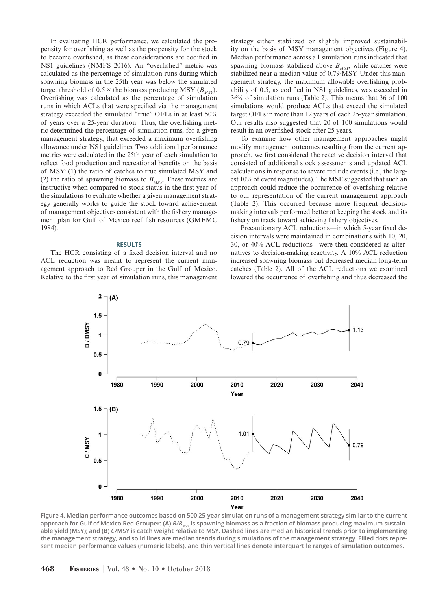In evaluating HCR performance, we calculated the propensity for overfishing as well as the propensity for the stock to become overfished, as these considerations are codified in NS1 guidelines (NMFS 2016). An "overfished" metric was calculated as the percentage of simulation runs during which spawning biomass in the 25th year was below the simulated target threshold of  $0.5 \times$  the biomass producing MSY ( $B_{MSV}$ ). Overfishing was calculated as the percentage of simulation runs in which ACLs that were specified via the management strategy exceeded the simulated "true" OFLs in at least 50% of years over a 25-year duration. Thus, the overfishing metric determined the percentage of simulation runs, for a given management strategy, that exceeded a maximum overfishing allowance under NS1 guidelines. Two additional performance metrics were calculated in the 25th year of each simulation to reflect food production and recreational benefits on the basis of MSY: (1) the ratio of catches to true simulated MSY and (2) the ratio of spawning biomass to  $B_{MST}$ . These metrics are instructive when compared to stock status in the first year of the simulations to evaluate whether a given management strategy generally works to guide the stock toward achievement of management objectives consistent with the fishery management plan for Gulf of Mexico reef fish resources (GMFMC 1984).

#### **RESULTS**

The HCR consisting of a fixed decision interval and no ACL reduction was meant to represent the current management approach to Red Grouper in the Gulf of Mexico. Relative to the first year of simulation runs, this management strategy either stabilized or slightly improved sustainability on the basis of MSY management objectives (Figure 4). Median performance across all simulation runs indicated that spawning biomass stabilized above  $B_{MSV}$ , while catches were stabilized near a median value of 0.79·MSY. Under this management strategy, the maximum allowable overfishing probability of 0.5, as codified in NS1 guidelines, was exceeded in 36% of simulation runs (Table 2). This means that 36 of 100 simulations would produce ACLs that exceed the simulated target OFLs in more than 12 years of each 25-year simulation. Our results also suggested that 20 of 100 simulations would result in an overfished stock after 25 years.

To examine how other management approaches might modify management outcomes resulting from the current approach, we first considered the reactive decision interval that consisted of additional stock assessments and updated ACL calculations in response to severe red tide events (i.e., the largest 10% of event magnitudes). The MSE suggested that such an approach could reduce the occurrence of overfishing relative to our representation of the current management approach (Table 2). This occurred because more frequent decisionmaking intervals performed better at keeping the stock and its fishery on track toward achieving fishery objectives.

Precautionary ACL reductions—in which 5-year fixed decision intervals were maintained in combinations with 10, 20, 30, or 40% ACL reductions—were then considered as alternatives to decision-making reactivity. A 10% ACL reduction increased spawning biomass but decreased median long-term catches (Table 2). All of the ACL reductions we examined lowered the occurrence of overfishing and thus decreased the



**Figure 4. Median performance outcomes based on 500 25-year simulation runs of a management strategy similar to the current**  approach for Gulf of Mexico Red Grouper: (A) *B/B<sub>MSY</sub>* is spawning biomass as a fraction of biomass producing maximum sustain**able yield (MSY); and (B)** *C/***MSY is catch weight relative to MSY. Dashed lines are median historical trends prior to implementing the management strategy, and solid lines are median trends during simulations of the management strategy. Filled dots represent median performance values (numeric labels), and thin vertical lines denote interquartile ranges of simulation outcomes.**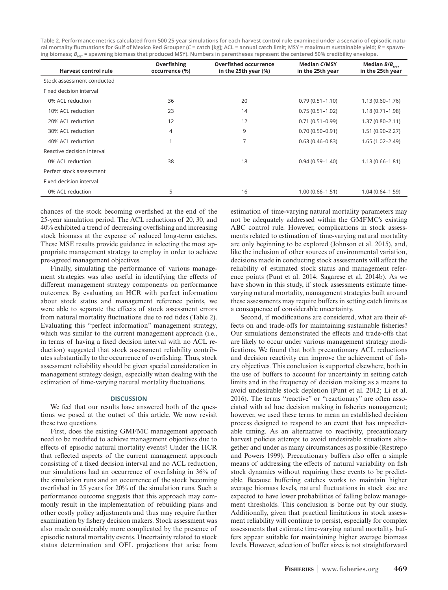| Table 2. Performance metrics calculated from 500 25-year simulations for each harvest control rule examined under a scenario of episodic natu-     |
|----------------------------------------------------------------------------------------------------------------------------------------------------|
| ral mortality fluctuations for Gulf of Mexico Red Grouper (C = catch [kg]; ACL = annual catch limit; MSY = maximum sustainable yield; $B$ = spawn- |
| ing biomass; $B_{\mu\nu\rho}$ = spawning biomass that produced MSY). Numbers in parentheses represent the centered 50% credibility envelope.       |

| Harvest control rule       | Overfishing<br>occurrence (%) | <b>Overfished occurrence</b><br>in the 25th year (%) | <b>Median C/MSY</b><br>in the 25th year | Median $B/B_{\text{new}}$<br>in the 25th year |
|----------------------------|-------------------------------|------------------------------------------------------|-----------------------------------------|-----------------------------------------------|
| Stock assessment conducted |                               |                                                      |                                         |                                               |
| Fixed decision interval    |                               |                                                      |                                         |                                               |
| 0% ACL reduction           | 36                            | 20                                                   | $0.79(0.51 - 1.10)$                     | $1.13(0.60 - 1.76)$                           |
| 10% ACL reduction          | 23                            | 14                                                   | $0.75(0.51 - 1.02)$                     | $1.18(0.71 - 1.98)$                           |
| 20% ACL reduction          | 12                            | 12                                                   | $0.71(0.51-0.99)$                       | $1.37(0.80 - 2.11)$                           |
| 30% ACL reduction          | 4                             | 9                                                    | $0.70(0.50-0.91)$                       | $1.51(0.90 - 2.27)$                           |
| 40% ACL reduction          |                               | 7                                                    | $0.63(0.46 - 0.83)$                     | $1.65(1.02 - 2.49)$                           |
| Reactive decision interval |                               |                                                      |                                         |                                               |
| 0% ACL reduction           | 38                            | 18                                                   | $0.94(0.59 - 1.40)$                     | $1.13(0.66 - 1.81)$                           |
| Perfect stock assessment   |                               |                                                      |                                         |                                               |
| Fixed decision interval    |                               |                                                      |                                         |                                               |
| 0% ACL reduction           | 5                             | 16                                                   | $1.00(0.66 - 1.51)$                     | 1.04 (0.64-1.59)                              |

chances of the stock becoming overfished at the end of the 25-year simulation period. The ACL reductions of 20, 30, and 40% exhibited a trend of decreasing overfishing and increasing stock biomass at the expense of reduced long-term catches. These MSE results provide guidance in selecting the most appropriate management strategy to employ in order to achieve pre-agreed management objectives.

Finally, simulating the performance of various management strategies was also useful in identifying the effects of different management strategy components on performance outcomes. By evaluating an HCR with perfect information about stock status and management reference points, we were able to separate the effects of stock assessment errors from natural mortality fluctuations due to red tides (Table 2). Evaluating this "perfect information" management strategy, which was similar to the current management approach (i.e., in terms of having a fixed decision interval with no ACL reduction) suggested that stock assessment reliability contributes substantially to the occurrence of overfishing. Thus, stock assessment reliability should be given special consideration in management strategy design, especially when dealing with the estimation of time-varying natural mortality fluctuations.

### **DISCUSSION**

We feel that our results have answered both of the questions we posed at the outset of this article. We now revisit these two questions.

First, does the existing GMFMC management approach need to be modified to achieve management objectives due to effects of episodic natural mortality events? Under the HCR that reflected aspects of the current management approach consisting of a fixed decision interval and no ACL reduction, our simulations had an occurrence of overfishing in 36% of the simulation runs and an occurrence of the stock becoming overfished in 25 years for 20% of the simulation runs. Such a performance outcome suggests that this approach may commonly result in the implementation of rebuilding plans and other costly policy adjustments and thus may require further examination by fishery decision makers. Stock assessment was also made considerably more complicated by the presence of episodic natural mortality events. Uncertainty related to stock status determination and OFL projections that arise from

estimation of time-varying natural mortality parameters may not be adequately addressed within the GMFMC's existing ABC control rule. However, complications in stock assessments related to estimation of time-varying natural mortality are only beginning to be explored (Johnson et al. 2015), and, like the inclusion of other sources of environmental variation, decisions made in conducting stock assessments will affect the reliability of estimated stock status and management reference points (Punt et al. 2014; Sagarese et al. 2014b). As we have shown in this study, if stock assessments estimate timevarying natural mortality, management strategies built around these assessments may require buffers in setting catch limits as a consequence of considerable uncertainty.

Second, if modifications are considered, what are their effects on and trade-offs for maintaining sustainable fisheries? Our simulations demonstrated the effects and trade-offs that are likely to occur under various management strategy modifications. We found that both precautionary ACL reductions and decision reactivity can improve the achievement of fishery objectives. This conclusion is supported elsewhere, both in the use of buffers to account for uncertainty in setting catch limits and in the frequency of decision making as a means to avoid undesirable stock depletion (Punt et al. 2012; Li et al. 2016). The terms "reactive" or "reactionary" are often associated with ad hoc decision making in fisheries management; however, we used these terms to mean an established decision process designed to respond to an event that has unpredictable timing. As an alternative to reactivity, precautionary harvest policies attempt to avoid undesirable situations altogether and under as many circumstances as possible (Restrepo and Powers 1999). Precautionary buffers also offer a simple means of addressing the effects of natural variability on fish stock dynamics without requiring these events to be predictable. Because buffering catches works to maintain higher average biomass levels, natural fluctuations in stock size are expected to have lower probabilities of falling below management thresholds. This conclusion is borne out by our study. Additionally, given that practical limitations in stock assessment reliability will continue to persist, especially for complex assessments that estimate time-varying natural mortality, buffers appear suitable for maintaining higher average biomass levels. However, selection of buffer sizes is not straightforward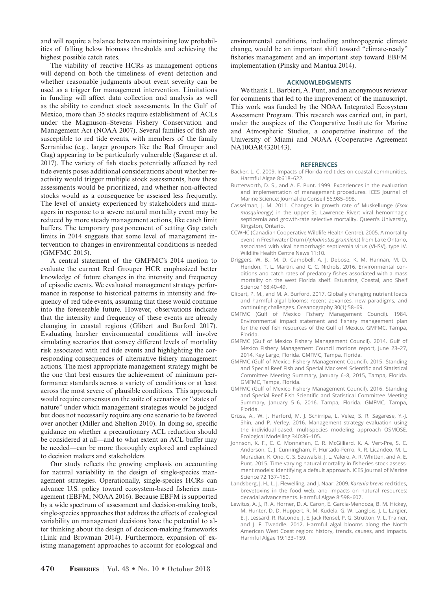and will require a balance between maintaining low probabilities of falling below biomass thresholds and achieving the highest possible catch rates.

The viability of reactive HCRs as management options will depend on both the timeliness of event detection and whether reasonable judgments about event severity can be used as a trigger for management intervention. Limitations in funding will affect data collection and analysis as well as the ability to conduct stock assessments. In the Gulf of Mexico, more than 35 stocks require establishment of ACLs under the Magnuson–Stevens Fishery Conservation and Management Act (NOAA 2007). Several families of fish are susceptible to red tide events, with members of the family Serranidae (e.g., larger groupers like the Red Grouper and Gag) appearing to be particularly vulnerable (Sagarese et al. 2017). The variety of fish stocks potentially affected by red tide events poses additional considerations about whether reactivity would trigger multiple stock assessments, how these assessments would be prioritized, and whether non-affected stocks would as a consequence be assessed less frequently. The level of anxiety experienced by stakeholders and managers in response to a severe natural mortality event may be reduced by more steady management actions, like catch limit buffers. The temporary postponement of setting Gag catch limits in 2014 suggests that some level of management intervention to changes in environmental conditions is needed (GMFMC 2015).

A central statement of the GMFMC's 2014 motion to evaluate the current Red Grouper HCR emphasized better knowledge of future changes in the intensity and frequency of episodic events. We evaluated management strategy performance in response to historical patterns in intensity and frequency of red tide events, assuming that these would continue into the foreseeable future. However, observations indicate that the intensity and frequency of these events are already changing in coastal regions (Glibert and Burford 2017). Evaluating harsher environmental conditions will involve simulating scenarios that convey different levels of mortality risk associated with red tide events and highlighting the corresponding consequences of alternative fishery management actions. The most appropriate management strategy might be the one that best ensures the achievement of minimum performance standards across a variety of conditions or at least across the most severe of plausible conditions. This approach would require consensus on the suite of scenarios or "states of nature" under which management strategies would be judged but does not necessarily require any one scenario to be favored over another (Miller and Shelton 2010). In doing so, specific guidance on whether a precautionary ACL reduction should be considered at all—and to what extent an ACL buffer may be needed—can be more thoroughly explored and explained to decision makers and stakeholders.

Our study reflects the growing emphasis on accounting for natural variability in the design of single-species management strategies. Operationally, single-species HCRs can advance U.S. policy toward ecosystem-based fisheries management (EBFM; NOAA 2016). Because EBFM is supported by a wide spectrum of assessment and decision-making tools, single-species approaches that address the effects of ecological variability on management decisions have the potential to alter thinking about the design of decision-making frameworks (Link and Browman 2014). Furthermore, expansion of existing management approaches to account for ecological and environmental conditions, including anthropogenic climate change, would be an important shift toward "climate-ready" fisheries management and an important step toward EBFM implementation (Pinsky and Mantua 2014).

## **ACKNOWLEDGMENTS**

We thank L. Barbieri, A. Punt, and an anonymous reviewer for comments that led to the improvement of the manuscript. This work was funded by the NOAA Integrated Ecosystem Assessment Program. This research was carried out, in part, under the auspices of the Cooperative Institute for Marine and Atmospheric Studies, a cooperative institute of the University of Miami and NOAA (Cooperative Agreement NA10OAR4320143).

#### **REFERENCES**

- Backer, L. C. 2009. Impacts of Florida red tides on coastal communities. Harmful Algae 8:618–622.
- Butterworth, D. S., and A. E. Punt. 1999. Experiences in the evaluation and implementation of management procedures. ICES Journal of Marine Science: Journal du Conseil 56:985–998.
- Casselman, J. M. 2011. Changes in growth rate of Muskellunge (*Esox masquinongy*) in the upper St. Lawrence River: viral hemorrhagic septicemia and growth-rate selective mortality. Queen's University, Kingston, Ontario.
- CCWHC (Canadian Cooperative Wildlife Health Centre). 2005. A mortality event in Freshwater Drum (*Aplodinotus grunniens*) from Lake Ontario, associated with viral hemorrhagic septicemia virus (VHSV), type IV. Wildlife Health Centre News 11:10.
- Driggers, W. B., M. D. Campbell, A. J. Debose, K. M. Hannan, M. D. Hendon, T. L. Martin, and C. C. Nichols. 2016. Environmental conditions and catch rates of predatory fishes associated with a mass mortality on the west Florida shelf. Estuarine, Coastal, and Shelf Science 168:40–49.
- Glibert, P. M., and M. A. Burford. 2017. Globally changing nutrient loads and harmful algal blooms: recent advances, new paradigms, and continuing challenges. Oceanography 30(1):58–69.
- GMFMC (Gulf of Mexico Fishery Management Council). 1984. Environmental impact statement and fishery management plan for the reef fish resources of the Gulf of Mexico. GMFMC, Tampa, Florida.
- GMFMC (Gulf of Mexico Fishery Management Council). 2014. Gulf of Mexico Fishery Management Council motions report, June 23–27, 2014, Key Largo, Florida. GMFMC, Tampa, Florida.
- GMFMC (Gulf of Mexico Fishery Management Council). 2015. Standing and Special Reef Fish and Special Mackerel Scientific and Statistical Committee Meeting Summary, January 6–8, 2015, Tampa, Florida. GMFMC, Tampa, Florida.
- GMFMC (Gulf of Mexico Fishery Management Council). 2016. Standing and Special Reef Fish Scientific and Statistical Committee Meeting Summary, January 5–6, 2016, Tampa, Florida. GMFMC, Tampa, Florida.
- Grüss, A., W. J. Harford, M. J. Schirripa, L. Velez, S. R. Sagarese, Y.-J. Shin, and P. Verley. 2016. Management strategy evaluation using the individual-based, multispecies modeling approach OSMOSE. Ecological Modelling 340:86–105.
- Johnson, K. F., C. C. Monnahan, C. R. McGilliard, K. A. Vert-Pre, S. C. Anderson, C. J. Cunningham, F. Hurtado-Ferro, R. R. Licandeo, M. L. Muradian, K. Ono, C. S. Szuwalski, J. L. Valero, A. R. Whitten, and A. E. Punt. 2015. Time-varying natural mortality in fisheries stock assessment models: identifying a default approach. ICES Journal of Marine Science 72:137–150.
- Landsberg, J. H., L. J. Flewelling, and J. Naar. 2009. *Karenia brevis* red tides, brevetoxins in the food web, and impacts on natural resources: decadal advancements. Harmful Algae 8:598–607.
- Lewitus, A. J., R. A. Horner, D. A. Caron, E. Garcia-Mendoza, B. M. Hickey, M. Hunter, D. D. Huppert, R. M. Kudela, G. W. Langlois, J. L. Largier, E. J. Lessard, R. RaLonde, J. E. Jack Rensel, P. G. Strutton, V. L. Trainer, and J. F. Tweddle. 2012. Harmful algal blooms along the North American West Coast region: history, trends, causes, and impacts. Harmful Algae 19:133–159.